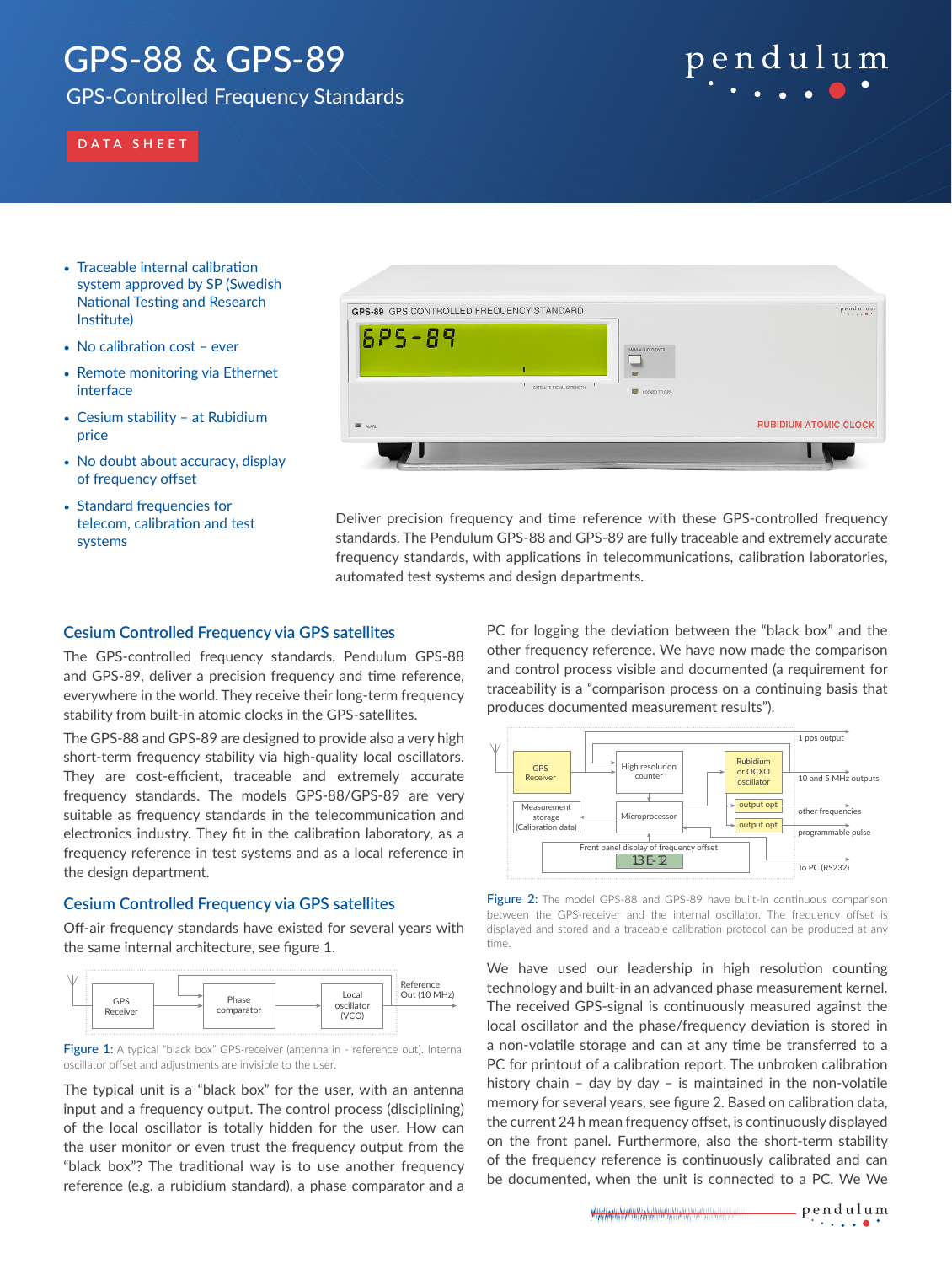## GPS-88 & GPS-89

GPS-Controlled Frequency Standards

# pendulum

## **DATA SHEET**

- Traceable internal calibration system approved by SP (Swedish National Testing and Research Institute)
- No calibration cost ever
- Remote monitoring via Ethernet interface
- Cesium stability at Rubidium price
- No doubt about accuracy, display of frequency offset
- Standard frequencies for telecom, calibration and test systems



Deliver precision frequency and time reference with these GPS-controlled frequency standards. The Pendulum GPS-88 and GPS-89 are fully traceable and extremely accurate frequency standards, with applications in telecommunications, calibration laboratories, automated test systems and design departments.

## **Cesium Controlled Frequency via GPS satellites**

The GPS-controlled frequency standards, Pendulum GPS-88 and GPS-89, deliver a precision frequency and time reference, everywhere in the world. They receive their long-term frequency stability from built-in atomic clocks in the GPS-satellites.

The GPS-88 and GPS-89 are designed to provide also a very high short-term frequency stability via high-quality local oscillators. They are cost-efficient, traceable and extremely accurate frequency standards. The models GPS-88/GPS-89 are very suitable as frequency standards in the telecommunication and electronics industry. They fit in the calibration laboratory, as a frequency reference in test systems and as a local reference in the design department.

## **Cesium Controlled Frequency via GPS satellites**

Off-air frequency standards have existed for several years with the same internal architecture, see figure 1.



**Figure 1:** A typical "black box" GPS-receiver (antenna in - reference out). Internal oscillator offset and adjustments are invisible to the user.

The typical unit is a "black box" for the user, with an antenna input and a frequency output. The control process (disciplining) of the local oscillator is totally hidden for the user. How can the user monitor or even trust the frequency output from the "black box"? The traditional way is to use another frequency reference (e.g. a rubidium standard), a phase comparator and a

PC for logging the deviation between the "black box" and the other frequency reference. We have now made the comparison and control process visible and documented (a requirement for traceability is a "comparison process on a continuing basis that produces documented measurement results").



Figure 2: The model GPS-88 and GPS-89 have built-in continuous comparison between the GPS-receiver and the internal oscillator. The frequency offset is displayed and stored and a traceable calibration protocol can be produced at any time.

We have used our leadership in high resolution counting technology and built-in an advanced phase measurement kernel. The received GPS-signal is continuously measured against the local oscillator and the phase/frequency deviation is stored in a non-volatile storage and can at any time be transferred to a PC for printout of a calibration report. The unbroken calibration history chain – day by day – is maintained in the non-volatile memory for several years, see figure 2. Based on calibration data, the current 24 h mean frequency offset, is continuously displayed on the front panel. Furthermore, also the short-term stability of the frequency reference is continuously calibrated and can be documented, when the unit is connected to a PC. We We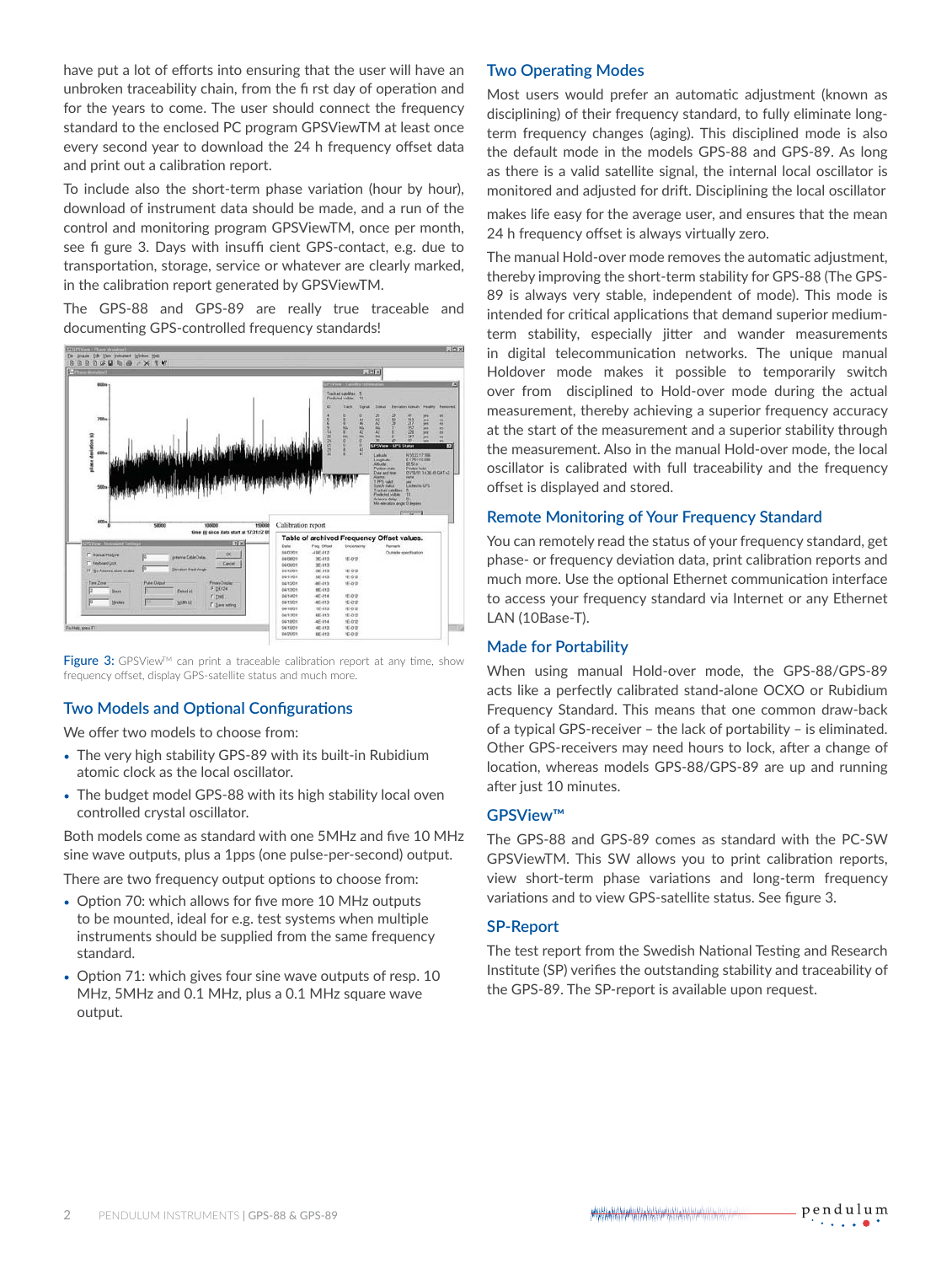have put a lot of efforts into ensuring that the user will have an unbroken traceability chain, from the fi rst day of operation and for the years to come. The user should connect the frequency standard to the enclosed PC program GPSViewTM at least once every second year to download the 24 h frequency offset data and print out a calibration report.

To include also the short-term phase variation (hour by hour), download of instrument data should be made, and a run of the control and monitoring program GPSViewTM, once per month, see fi gure 3. Days with insuffi cient GPS-contact, e.g. due to transportation, storage, service or whatever are clearly marked, in the calibration report generated by GPSViewTM.

The GPS-88 and GPS-89 are really true traceable and documenting GPS-controlled frequency standards!



Figure 3: GPSView™ can print a traceable calibration report at any time, show frequency offset, display GPS-satellite status and much more.

## **Two Models and Optional Configurations**

We offer two models to choose from:

- The very high stability GPS-89 with its built-in Rubidium atomic clock as the local oscillator.
- The budget model GPS-88 with its high stability local oven controlled crystal oscillator.

Both models come as standard with one 5MHz and five 10 MHz sine wave outputs, plus a 1pps (one pulse-per-second) output.

There are two frequency output options to choose from:

- Option 70: which allows for five more 10 MHz outputs to be mounted, ideal for e.g. test systems when multiple instruments should be supplied from the same frequency standard.
- Option 71: which gives four sine wave outputs of resp. 10 MHz, 5MHz and 0.1 MHz, plus a 0.1 MHz square wave output.

## **Two Operating Modes**

Most users would prefer an automatic adjustment (known as disciplining) of their frequency standard, to fully eliminate longterm frequency changes (aging). This disciplined mode is also the default mode in the models GPS-88 and GPS-89. As long as there is a valid satellite signal, the internal local oscillator is monitored and adjusted for drift. Disciplining the local oscillator

makes life easy for the average user, and ensures that the mean 24 h frequency offset is always virtually zero.

The manual Hold-over mode removes the automatic adjustment, thereby improving the short-term stability for GPS-88 (The GPS-89 is always very stable, independent of mode). This mode is intended for critical applications that demand superior mediumterm stability, especially jitter and wander measurements in digital telecommunication networks. The unique manual Holdover mode makes it possible to temporarily switch over from disciplined to Hold-over mode during the actual measurement, thereby achieving a superior frequency accuracy at the start of the measurement and a superior stability through the measurement. Also in the manual Hold-over mode, the local oscillator is calibrated with full traceability and the frequency offset is displayed and stored.

## **Remote Monitoring of Your Frequency Standard**

You can remotely read the status of your frequency standard, get phase- or frequency deviation data, print calibration reports and much more. Use the optional Ethernet communication interface to access your frequency standard via Internet or any Ethernet LAN (10Base-T).

## **Made for Portability**

When using manual Hold-over mode, the GPS-88/GPS-89 acts like a perfectly calibrated stand-alone OCXO or Rubidium Frequency Standard. This means that one common draw-back of a typical GPS-receiver – the lack of portability – is eliminated. Other GPS-receivers may need hours to lock, after a change of location, whereas models GPS-88/GPS-89 are up and running after just 10 minutes.

## **GPSView™**

The GPS-88 and GPS-89 comes as standard with the PC-SW GPSViewTM. This SW allows you to print calibration reports, view short-term phase variations and long-term frequency variations and to view GPS-satellite status. See figure 3.

## **SP-Report**

The test report from the Swedish National Testing and Research Institute (SP) verifies the outstanding stability and traceability of the GPS-89. The SP-report is available upon request.

pendulum **ARRAIG ANTRAIGE AND ARRAIGNMENT**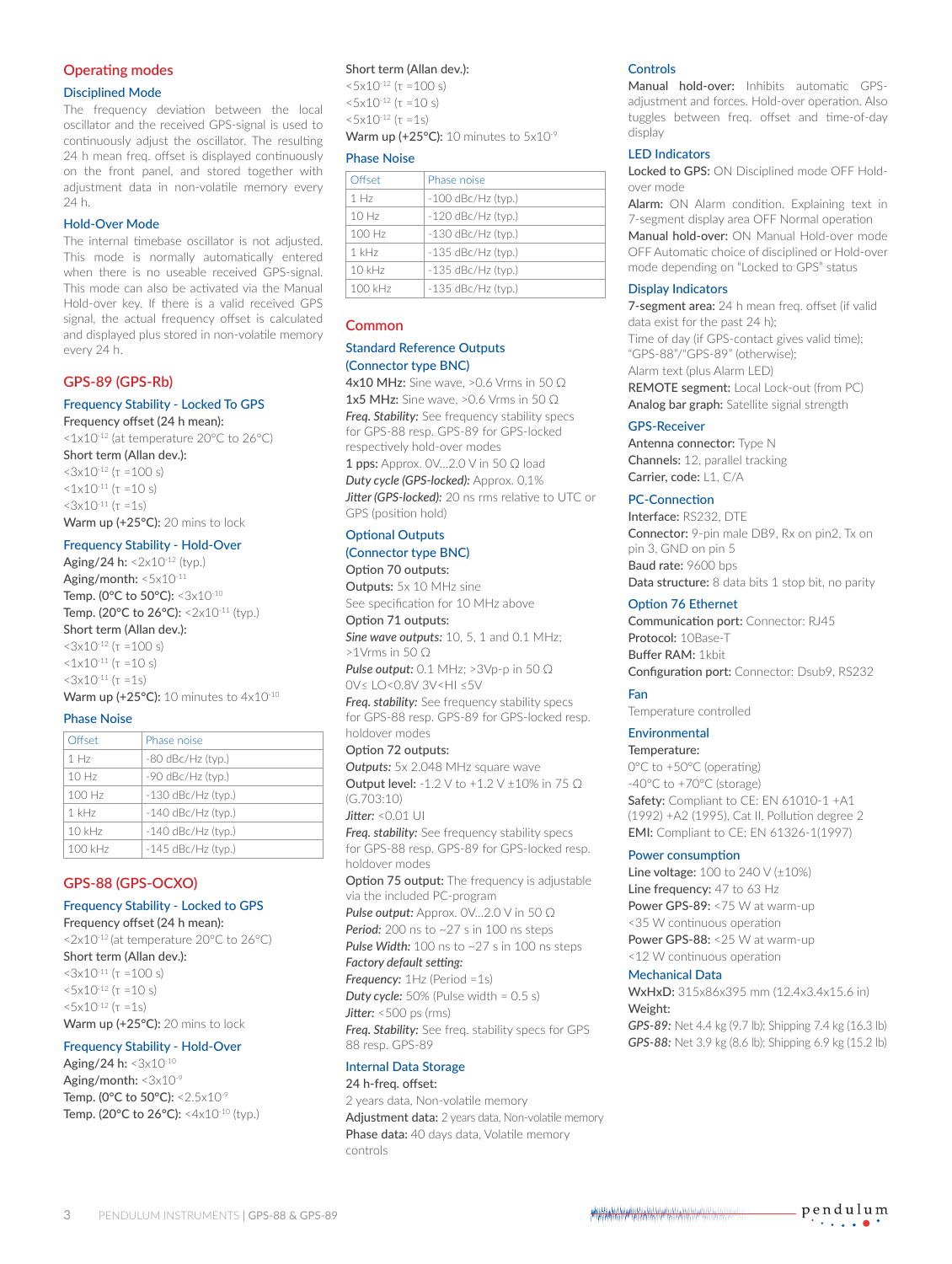## **Operating modes**

#### Disciplined Mode

The frequency deviation between the local oscillator and the received GPS-signal is used to continuously adjust the oscillator. The resulting 24 h mean freq. offset is displayed continuously on the front panel, and stored together with adjustment data in non-volatile memory every 24 h.

## Hold-Over Mode

The internal timebase oscillator is not adjusted. This mode is normally automatically entered when there is no useable received GPS-signal. This mode can also be activated via the Manual Hold-over key. If there is a valid received GPS signal, the actual frequency offset is calculated and displayed plus stored in non-volatile memory every 24 h.

## **GPS-89 (GPS-Rb)**

## Frequency Stability - Locked To GPS

Frequency offset (24 h mean):

<1x10-12 (at temperature 20°C to 26°C) Short term (Allan dev.):

 $<$ 3x10<sup>-12</sup> (τ =100 s)  $1 \times 10^{-11}$  (τ =10 s)  $<$ 3x10<sup>-11</sup> (τ =1s) Warm up (+25°C): 20 mins to lock

## Frequency Stability - Hold-Over

Aging/24 h:  $\leq 2 \times 10^{-12}$  (typ.) Aging/month: <5x10-11 Temp. (0°C to 50°C): <3x10<sup>-10</sup> Temp. (20°C to 26°C): <2x10-11 (typ.) Short term (Allan dev.):  $<3x10^{-12}$  (τ =100 s)  $<1\times10^{-11}$  (τ =10 s)  $<3x10^{-11}$  (τ =1s) Warm up (+25°C): 10 minutes to  $4x10^{-10}$ 

#### Phase Noise

| Offset           | Phase noise          |
|------------------|----------------------|
| 1 H <sub>7</sub> | $-80$ dBc/Hz (typ.)  |
| 10Hz             | -90 dBc/Hz (typ.)    |
| 100 Hz           | $-130$ dBc/Hz (typ.) |
| $1$ kHz          | $-140$ dBc/Hz (typ.) |
| $10$ kHz         | $-140$ dBc/Hz (typ.) |
| 100 kHz          | $-145$ dBc/Hz (typ.) |

## **GPS-88 (GPS-OCXO)**

## Frequency Stability - Locked to GPS

Frequency offset (24 h mean): <2x10-12 (at temperature 20°C to 26°C) Short term (Allan dev.):  $<$ 3x10<sup>-11</sup> (τ =100 s)  $5x10^{-12}$  (τ =10 s)  $5x10^{-12}$  (τ =1s) Warm up (+25°C): 20 mins to lock

## Frequency Stability - Hold-Over

Aging/24 h: <3x10-10 Aging/month:  $\langle 3x10^{-9}$ Temp. (0 $^{\circ}$ C to 50 $^{\circ}$ C): <2.5x10 $^{\circ}$ Temp. (20°C to 26°C): <4x10<sup>-10</sup> (typ.)

### Short term (Allan dev.):

 $5x10^{-12}$  (τ =100 s)  $5x10^{-12}$  (τ =10 s)  $5x10^{-12}$  ( $\tau =15$ ) Warm up (+25°C): 10 minutes to 5x10<sup>-9</sup>

#### Phase Noise

| Offset           | Phase noise          |
|------------------|----------------------|
| 1 H <sub>7</sub> | $-100$ dBc/Hz (typ.) |
| 10Hz             | $-120$ dBc/Hz (typ.) |
| 100 Hz           | $-130$ dBc/Hz (typ.) |
| $1$ kHz          | $-135$ dBc/Hz (typ.) |
| $10$ kHz         | $-135$ dBc/Hz (typ.) |
| $100$ kHz        | $-135$ dBc/Hz (typ.) |

## **Common**

## Standard Reference Outputs (Connector type BNC)

4x10 MHz: Sine wave, >0.6 Vrms in 50 Ω 1x5 MHz: Sine wave, >0.6 Vrms in 50  $\Omega$ *Freq. Stability:* See frequency stability specs for GPS-88 resp. GPS-89 for GPS-locked respectively hold-over modes

1 pps: Approx. 0V...2.0 V in 50 Ω load *Duty cycle (GPS-locked):* Approx. 0,1% *Jitter (GPS-locked):* 20 ns rms relative to UTC or GPS (position hold)

## Optional Outputs

## (Connector type BNC)

Option 70 outputs: Outputs: 5x 10 MHz sine See specification for 10 MHz above

Option 71 outputs:

*Sine wave outputs:* 10, 5, 1 and 0.1 MHz; >1Vrms in 50 Ω

*Pulse output:* 0.1 MHz; >3Vp-p in 50 Ω 0V≤ LO<0.8V 3V<HI ≤5V

*Freq. stability:* See frequency stability specs for GPS-88 resp. GPS-89 for GPS-locked resp. holdover modes

Option 72 outputs: *Outputs:* 5x 2.048 MHz square wave Output level: -1.2 V to +1.2 V ±10% in 75 Ω (G.703:10)

## *Jitter:* <0.01 UI

*Freq. stability:* See frequency stability specs for GPS-88 resp. GPS-89 for GPS-locked resp. holdover modes

Option 75 output: The frequency is adjustable via the included PC-program

*Pulse output: Approx. 0V...2.0 V in 50 Ω* 

**Period:** 200 ns to ~27 s in 100 ns steps **Pulse Width:** 100 ns to ~27 s in 100 ns steps

#### *Factory default setting:*

*Frequency:* 1Hz (Period =1s) **Duty cycle:** 50% (Pulse width = 0.5 s) *Jitter:* <500 ps (rms) *Freq. Stability:* See freq. stability specs for GPS 88 resp. GPS-89

## Internal Data Storage

24 h-freq. offset:

2 years data, Non-volatile memory Adjustment data: 2 years data, Non-volatile memory Phase data: 40 days data, Volatile memory controls

#### **Controls**

Manual hold-over: Inhibits automatic GPSadjustment and forces. Hold-over operation. Also tuggles between freq. offset and time-of-day display

## LED Indicators

Locked to GPS: ON Disciplined mode OFF Holdover mode

Alarm: ON Alarm condition. Explaining text in 7-segment display area OFF Normal operation Manual hold-over: ON Manual Hold-over mode OFF Automatic choice of disciplined or Hold-over mode depending on "Locked to GPS" status

#### Display Indicators

7-segment area: 24 h mean freq. offset (if valid data exist for the past 24 h); Time of day (if GPS-contact gives valid time); "GPS-88"/"GPS-89" (otherwise); Alarm text (plus Alarm LED) REMOTE segment: Local Lock-out (from PC)

Analog bar graph: Satellite signal strength

## GPS-Receiver

Antenna connector: Type N Channels: 12, parallel tracking Carrier, code: L1, C/A

### PC-Connection

Interface: RS232, DTE Connector: 9-pin male DB9, Rx on pin2, Tx on pin 3, GND on pin 5 Baud rate: 9600 bps Data structure: 8 data bits 1 stop bit, no parity

### Option 76 Ethernet

Communication port: Connector: RJ45 Protocol: 10Base-T Buffer RAM: 1kbit Configuration port: Connector: Dsub9, RS232

## Fan

Temperature controlled

## Environmental

Temperature: 0°C to +50°C (operating) -40°C to +70°C (storage) Safety: Compliant to CE: EN 61010-1 +A1 (1992) +A2 (1995), Cat II, Pollution degree 2 EMI: Compliant to CE: EN 61326-1(1997)

#### Power consumption

**Line voltage:** 100 to 240 V (±10%) Line frequency: 47 to 63 Hz Power GPS-89: < 75 W at warm-up <35 W continuous operation Power GPS-88: <25 W at warm-up <12 W continuous operation

## Mechanical Data

WxHxD: 315x86x395 mm (12.4x3.4x15.6 in) Weight:

*GPS-89:* Net 4.4 kg (9.7 lb); Shipping 7.4 kg (16.3 lb) *GPS-88:* Net 3.9 kg (8.6 lb); Shipping 6.9 kg (15.2 lb)